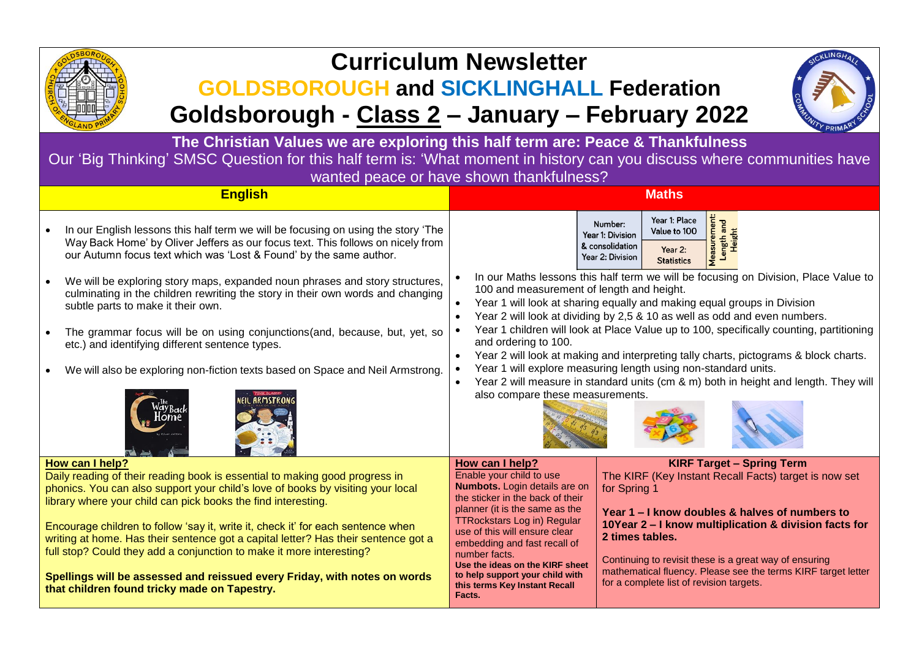

# **Curriculum Newsletter**

# **GOLDSBOROUGH and SICKLINGHALL Federation Goldsborough - Class 2 – January – February 2022**



**The Christian Values we are exploring this half term are: Peace & Thankfulness** Our 'Big Thinking' SMSC Question for this half term is: 'What moment in history can you discuss where communities have wanted peace or have shown thankfulness?

| <b>English</b>                                                                                                                                                                                                                                                                                                                                                                                                                                                                                                                                                                                                                    | <b>Maths</b>                                                                                                                                                                                                                                                                                                                                                                                                                                                                                                                                                                                                                                                                                                                                                                                                  |  |  |
|-----------------------------------------------------------------------------------------------------------------------------------------------------------------------------------------------------------------------------------------------------------------------------------------------------------------------------------------------------------------------------------------------------------------------------------------------------------------------------------------------------------------------------------------------------------------------------------------------------------------------------------|---------------------------------------------------------------------------------------------------------------------------------------------------------------------------------------------------------------------------------------------------------------------------------------------------------------------------------------------------------------------------------------------------------------------------------------------------------------------------------------------------------------------------------------------------------------------------------------------------------------------------------------------------------------------------------------------------------------------------------------------------------------------------------------------------------------|--|--|
| In our English lessons this half term we will be focusing on using the story 'The<br>Way Back Home' by Oliver Jeffers as our focus text. This follows on nicely from<br>our Autumn focus text which was 'Lost & Found' by the same author.                                                                                                                                                                                                                                                                                                                                                                                        | <b>Aeasurement</b><br>Year 1: Place<br>Length and<br>Number:<br>Value to 100<br><b>Height</b><br>Year 1: Division<br>& consolidation<br>Year 2:<br>Year 2: Division<br><b>Statistics</b>                                                                                                                                                                                                                                                                                                                                                                                                                                                                                                                                                                                                                      |  |  |
| We will be exploring story maps, expanded noun phrases and story structures,<br>culminating in the children rewriting the story in their own words and changing<br>subtle parts to make it their own.                                                                                                                                                                                                                                                                                                                                                                                                                             | In our Maths lessons this half term we will be focusing on Division, Place Value to<br>100 and measurement of length and height.<br>Year 1 will look at sharing equally and making equal groups in Division<br>Year 2 will look at dividing by 2,5 & 10 as well as odd and even numbers.                                                                                                                                                                                                                                                                                                                                                                                                                                                                                                                      |  |  |
| The grammar focus will be on using conjunctions(and, because, but, yet, so<br>etc.) and identifying different sentence types.                                                                                                                                                                                                                                                                                                                                                                                                                                                                                                     | Year 1 children will look at Place Value up to 100, specifically counting, partitioning<br>and ordering to 100.<br>Year 2 will look at making and interpreting tally charts, pictograms & block charts.                                                                                                                                                                                                                                                                                                                                                                                                                                                                                                                                                                                                       |  |  |
| We will also be exploring non-fiction texts based on Space and Neil Armstrong.                                                                                                                                                                                                                                                                                                                                                                                                                                                                                                                                                    | Year 1 will explore measuring length using non-standard units.<br>Year 2 will measure in standard units (cm & m) both in height and length. They will<br>also compare these measurements.                                                                                                                                                                                                                                                                                                                                                                                                                                                                                                                                                                                                                     |  |  |
| How can I help?<br>Daily reading of their reading book is essential to making good progress in<br>phonics. You can also support your child's love of books by visiting your local<br>library where your child can pick books the find interesting.<br>Encourage children to follow 'say it, write it, check it' for each sentence when<br>writing at home. Has their sentence got a capital letter? Has their sentence got a<br>full stop? Could they add a conjunction to make it more interesting?<br>Spellings will be assessed and reissued every Friday, with notes on words<br>that children found tricky made on Tapestry. | <b>KIRF Target - Spring Term</b><br>How can I help?<br>Enable your child to use<br>The KIRF (Key Instant Recall Facts) target is now set<br>Numbots. Login details are on<br>for Spring 1<br>the sticker in the back of their<br>planner (it is the same as the<br>Year 1 – I know doubles & halves of numbers to<br><b>TTRockstars Log in) Regular</b><br>10Year 2 – I know multiplication & division facts for<br>use of this will ensure clear<br>2 times tables.<br>embedding and fast recall of<br>number facts.<br>Continuing to revisit these is a great way of ensuring<br>Use the ideas on the KIRF sheet<br>mathematical fluency. Please see the terms KIRF target letter<br>to help support your child with<br>for a complete list of revision targets.<br>this terms Key Instant Recall<br>Facts. |  |  |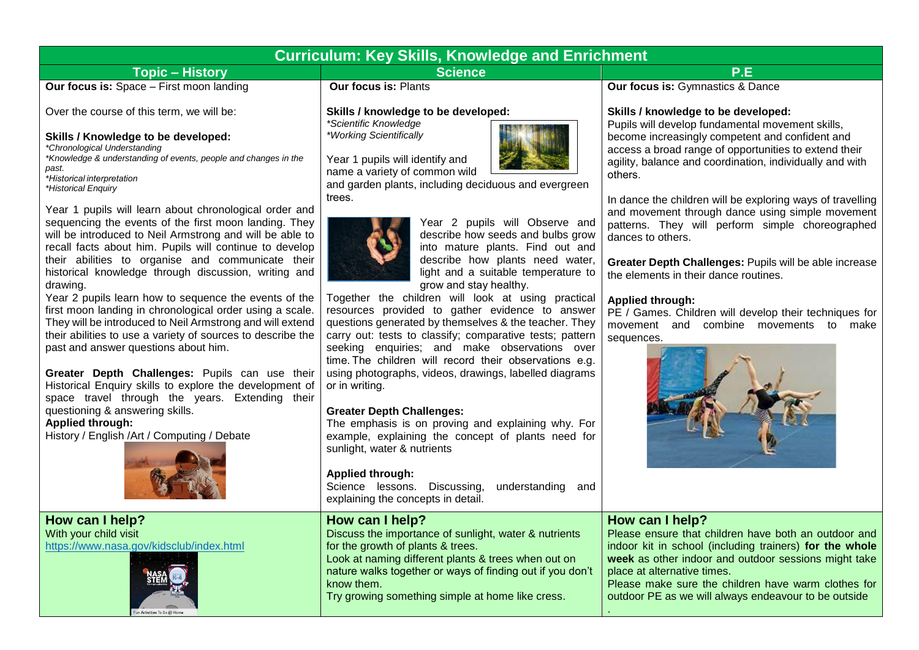| Curriculum: Key Skills, Knowledge and Enrichment                                                                                                |                                                                                             |                                                                                                                                                              |  |  |
|-------------------------------------------------------------------------------------------------------------------------------------------------|---------------------------------------------------------------------------------------------|--------------------------------------------------------------------------------------------------------------------------------------------------------------|--|--|
| <b>Topic – History</b>                                                                                                                          | <b>Science</b>                                                                              | P.E.                                                                                                                                                         |  |  |
| <b>Our focus is:</b> Space - First moon landing                                                                                                 | <b>Our focus is: Plants</b>                                                                 | <b>Our focus is: Gymnastics &amp; Dance</b>                                                                                                                  |  |  |
| Over the course of this term, we will be:                                                                                                       | Skills / knowledge to be developed:<br>*Scientific Knowledge                                | Skills / knowledge to be developed:<br>Pupils will develop fundamental movement skills,                                                                      |  |  |
| Skills / Knowledge to be developed:<br>*Chronological Understanding<br>*Knowledge & understanding of events, people and changes in the<br>past. | *Working Scientifically<br>Year 1 pupils will identify and<br>name a variety of common wild | become increasingly competent and confident and<br>access a broad range of opportunities to extend th<br>agility, balance and coordination, individually and |  |  |
| *Historical interpretation<br>*Historical Enguiry                                                                                               | and garden plants, including deciduous and evergreen                                        | others.                                                                                                                                                      |  |  |

Year 1 pupils will learn about chronological order and sequencing the events of the first moon landing. They will be introduced to Neil Armstrong and will be able to recall facts about him. Pupils will continue to develop their abilities to organise and communicate their historical knowledge through discussion, writing and drawing.

Year 2 pupils learn how to sequence the events of the first moon landing in chronological order using a scale. They will be introduced to Neil Armstrong and will extend their abilities to use a variety of sources to describe the past and answer questions about him.

**Greater Depth Challenges:** Pupils can use their Historical Enquiry skills to explore the development of space travel through the years. Extending their questioning & answering skills.

**Applied through:**

History / English /Art / Computing / Debate



**How can I help?** With your child visit <https://www.nasa.gov/kidsclub/index.html>



trees. 



Year 2 pupils will Observe and describe how seeds and bulbs grow into mature plants. Find out and describe how plants need water, light and a suitable temperature to grow and stay healthy. 

Together the children will look at using practical resources provided to gather evidence to answer questions generated by themselves & the teacher. They carry out: tests to classify; comparative tests; pattern seeking enquiries; and make observations over time. The children will record their observations e.g. using photographs, videos, drawings, labelled diagrams or in writing. 

### **Greater Depth Challenges:**

The emphasis is on proving and explaining why. For example, explaining the concept of plants need for sunlight, water & nutrients

#### **Applied through:**

Science lessons. Discussing, understanding and explaining the concepts in detail.

## **How can I help?** Discuss the importance of sunlight, water & nutrients for the growth of plants & trees. Look at naming different plants & trees when out on nature walks together or ways of finding out if you don't know them.

Try growing something simple at home like cress.

become increasing the tre tunities to extend their on, individually and with

In dance the children will be exploring ways of travelling and movement through dance using simple movement patterns. They will perform simple choreographed dances to others.

**Greater Depth Challenges:** Pupils will be able increase the elements in their dance routines.

### **Applied through:**

PE / Games. Children will develop their techniques for movement and combine movements to make sequences.



# **How can I help?**

.

Please ensure that children have both an outdoor and indoor kit in school (including trainers) **for the whole week** as other indoor and outdoor sessions might take place at alternative times.

Please make sure the children have warm clothes for outdoor PE as we will always endeavour to be outside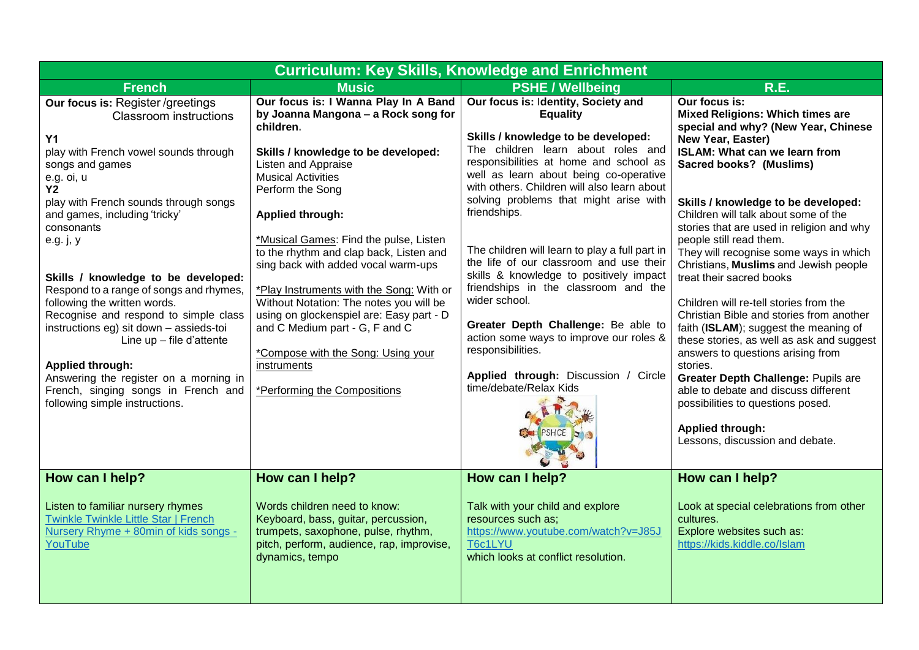| <b>Curriculum: Key Skills, Knowledge and Enrichment</b>                                                                                                                                                                                                                                                                                                                                                                                                                                                                                                                                                                                                         |                                                                                                                                                                                                                                                                                                                                                                                                                                                                                                                                                                                                                          |                                                                                                                                                                                                                                                                                                                                                                                                                                                                                                                                                                                                                                                                                                            |                                                                                                                                                                                                                                                                                                                                                                                                                                                                                                                                                                                                                                                                                                                                                                                                                                                                                     |
|-----------------------------------------------------------------------------------------------------------------------------------------------------------------------------------------------------------------------------------------------------------------------------------------------------------------------------------------------------------------------------------------------------------------------------------------------------------------------------------------------------------------------------------------------------------------------------------------------------------------------------------------------------------------|--------------------------------------------------------------------------------------------------------------------------------------------------------------------------------------------------------------------------------------------------------------------------------------------------------------------------------------------------------------------------------------------------------------------------------------------------------------------------------------------------------------------------------------------------------------------------------------------------------------------------|------------------------------------------------------------------------------------------------------------------------------------------------------------------------------------------------------------------------------------------------------------------------------------------------------------------------------------------------------------------------------------------------------------------------------------------------------------------------------------------------------------------------------------------------------------------------------------------------------------------------------------------------------------------------------------------------------------|-------------------------------------------------------------------------------------------------------------------------------------------------------------------------------------------------------------------------------------------------------------------------------------------------------------------------------------------------------------------------------------------------------------------------------------------------------------------------------------------------------------------------------------------------------------------------------------------------------------------------------------------------------------------------------------------------------------------------------------------------------------------------------------------------------------------------------------------------------------------------------------|
| <b>French</b>                                                                                                                                                                                                                                                                                                                                                                                                                                                                                                                                                                                                                                                   | <b>Music</b>                                                                                                                                                                                                                                                                                                                                                                                                                                                                                                                                                                                                             | <b>PSHE / Wellbeing</b>                                                                                                                                                                                                                                                                                                                                                                                                                                                                                                                                                                                                                                                                                    | <b>R.E.</b>                                                                                                                                                                                                                                                                                                                                                                                                                                                                                                                                                                                                                                                                                                                                                                                                                                                                         |
| Our focus is: Register/greetings<br><b>Classroom instructions</b><br><b>Y1</b><br>play with French vowel sounds through<br>songs and games<br>e.g. oi, u<br>Y <sub>2</sub><br>play with French sounds through songs<br>and games, including 'tricky'<br>consonants<br>e.g. j, y<br>Skills / knowledge to be developed:<br>Respond to a range of songs and rhymes,<br>following the written words.<br>Recognise and respond to simple class<br>instructions eg) sit down - assieds-toi<br>Line up - file d'attente<br><b>Applied through:</b><br>Answering the register on a morning in<br>French, singing songs in French and<br>following simple instructions. | Our focus is: I Wanna Play In A Band<br>by Joanna Mangona - a Rock song for<br>children.<br>Skills / knowledge to be developed:<br>Listen and Appraise<br><b>Musical Activities</b><br>Perform the Song<br><b>Applied through:</b><br>*Musical Games: Find the pulse, Listen<br>to the rhythm and clap back, Listen and<br>sing back with added vocal warm-ups<br>*Play Instruments with the Song: With or<br>Without Notation: The notes you will be<br>using on glockenspiel are: Easy part - D<br>and C Medium part - G, F and C<br>*Compose with the Song: Using your<br>instruments<br>*Performing the Compositions | Our focus is: Identity, Society and<br><b>Equality</b><br>Skills / knowledge to be developed:<br>The children learn about roles and<br>responsibilities at home and school as<br>well as learn about being co-operative<br>with others. Children will also learn about<br>solving problems that might arise with<br>friendships.<br>The children will learn to play a full part in<br>the life of our classroom and use their<br>skills & knowledge to positively impact<br>friendships in the classroom and the<br>wider school.<br>Greater Depth Challenge: Be able to<br>action some ways to improve our roles &<br>responsibilities.<br>Applied through: Discussion / Circle<br>time/debate/Relax Kids | Our focus is:<br><b>Mixed Religions: Which times are</b><br>special and why? (New Year, Chinese<br>New Year, Easter)<br><b>ISLAM: What can we learn from</b><br><b>Sacred books? (Muslims)</b><br>Skills / knowledge to be developed:<br>Children will talk about some of the<br>stories that are used in religion and why<br>people still read them.<br>They will recognise some ways in which<br>Christians, Muslims and Jewish people<br>treat their sacred books<br>Children will re-tell stories from the<br>Christian Bible and stories from another<br>faith (ISLAM); suggest the meaning of<br>these stories, as well as ask and suggest<br>answers to questions arising from<br>stories.<br>Greater Depth Challenge: Pupils are<br>able to debate and discuss different<br>possibilities to questions posed.<br><b>Applied through:</b><br>Lessons, discussion and debate. |
| How can I help?                                                                                                                                                                                                                                                                                                                                                                                                                                                                                                                                                                                                                                                 | How can I help?                                                                                                                                                                                                                                                                                                                                                                                                                                                                                                                                                                                                          | How can I help?                                                                                                                                                                                                                                                                                                                                                                                                                                                                                                                                                                                                                                                                                            | How can I help?                                                                                                                                                                                                                                                                                                                                                                                                                                                                                                                                                                                                                                                                                                                                                                                                                                                                     |
| Listen to familiar nursery rhymes<br><b>Twinkle Twinkle Little Star   French</b><br>Nursery Rhyme + 80min of kids songs -<br>YouTube                                                                                                                                                                                                                                                                                                                                                                                                                                                                                                                            | Words children need to know:<br>Keyboard, bass, guitar, percussion,<br>trumpets, saxophone, pulse, rhythm,<br>pitch, perform, audience, rap, improvise,<br>dynamics, tempo                                                                                                                                                                                                                                                                                                                                                                                                                                               | Talk with your child and explore<br>resources such as:<br>https://www.youtube.com/watch?v=J85J<br>T6c1LYU<br>which looks at conflict resolution.                                                                                                                                                                                                                                                                                                                                                                                                                                                                                                                                                           | Look at special celebrations from other<br>cultures.<br>Explore websites such as:<br>https://kids.kiddle.co/lslam                                                                                                                                                                                                                                                                                                                                                                                                                                                                                                                                                                                                                                                                                                                                                                   |